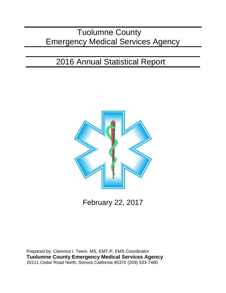# Tuolumne County Emergency Medical Services Agency

# 2016 Annual Statistical Report



February 22, 2017

Prepared by: Clarence I. Teem, MS, EMT-P, EMS Coordinator **Tuolumne County Emergency Medical Services Agency** 20111 Cedar Road North, Sonora California 95370 (209) 533-7460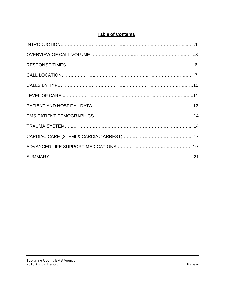# **Table of Contents**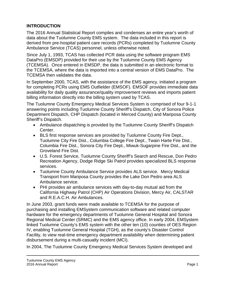# **INTRODUCTION**

The 2016 Annual Statistical Report compiles and condenses an entire year's worth of data about the Tuolumne County EMS system. The data included in this report is derived from pre-hospital patient care records (PCRs) completed by Tuolumne County Ambulance Service (TCAS) personnel, unless otherwise noted.

Since July 1, 1993, TCAS has collected PCR data using the software program EMS DataPro (EMSDP) provided for their use by the Tuolumne County EMS Agency (TCEMSA). Once entered in EMSDP, the data is submitted in an electronic format to the TCEMSA, where the data is imported into a central version of EMS DataPro. The TCEMSA then validates the data.

In September 2000, TCAS, with the assistance of the EMS agency, initiated a program for completing PCRs using EMS Outfielder (EMSOF). EMSOF provides immediate data availability for daily quality assurance/quality improvement reviews and imports patient billing information directly into the billing system used by TCAS.

The Tuolumne County Emergency Medical Services System is comprised of four 9-1-1 answering points including Tuolumne County Sheriff's Dispatch, City of Sonora Police Department Dispatch, CHP Dispatch (located in Merced County) and Mariposa County Sheriff's Dispatch.

- Ambulance dispatching is provided by the Tuolumne County Sheriff's Dispatch Center.
- BLS first response services are provided by Tuolumne County Fire Dept., Tuolumne City Fire Dist., Columbia College Fire Dept., Twain Harte Fire Dist., Columbia Fire Dist., Sonora City Fire Dept., Miwuk-Sugarpine Fire Dist., and the Groveland Fire Dist.
- U.S. Forest Service, Tuolumne County Sheriff's Search and Rescue, Don Pedro Recreation Agency, Dodge Ridge Ski Patrol provides specialized BLS response services.
- Tuolumne County Ambulance Service provides ALS service. Mercy Medical Transport from Mariposa County provides the Lake Don Pedro area ALS Ambulance service.
- PHI provides air ambulance services with day-to-day mutual aid from the California Highway Patrol (CHP) Air Operations Division, Mercy Air, CALSTAR and R.E.A.C.H. Air Ambulances.

In June 2003, grant funds were made available to TCEMSA for the purpose of purchasing and installing EMSystem communication software and related computer hardware for the emergency departments of Tuolumne General Hospital and Sonora Regional Medical Center (SRMC) and the EMS agency office. In early 2004, EMSystem linked Tuolumne County's EMS system with the other ten (10) counties of OES Region IV, enabling Tuolumne General Hospital (TGH), as the county's Disaster Control Facility, to view real-time emergency department availability when determining patient disbursement during a multi-casualty incident (MCI).

In 2004, The Tuolumne County Emergency Medical Services System developed and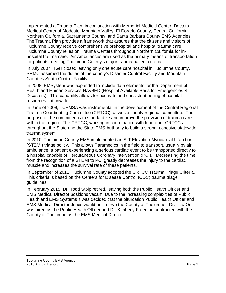implemented a Trauma Plan, in conjunction with Memorial Medical Center, Doctors Medical Center of Modesto, Mountain Valley, El Dorado County, Central California, Northern California, Sacramento County, and Santa Barbara County EMS Agencies. The Trauma Plan provides a framework that assures that the citizens and visitors of Tuolumne County receive comprehensive prehospital and hospital trauma care. Tuolumne County relies on Trauma Centers throughout Northern California for inhospital trauma care. Air Ambulances are used as the primary means of transportation for patients meeting Tuolumne County's major trauma patient criteria.

In July 2007, TGH closed leaving only one acute care hospital in Tuolumne County. SRMC assumed the duties of the county's Disaster Control Facility and Mountain Counties South Control Facility.

In 2008, EMSystem was expanded to include data elements for the Department of Health and Human Services HAvBED (Hospital Available Beds for Emergencies & Disasters). This capability allows for accurate and consistent polling of hospital resources nationwide.

In June of 2009, TCEMSA was instrumental in the development of the Central Regional Trauma Coordinating Committee (CRTCC), a twelve county regional committee. The purpose of the committee is to standardize and improve the provision of trauma care within the region. The CRTCC, working in coordination with four other CRTCCs throughout the State and the State EMS Authority to build a strong, cohesive statewide trauma system.

In 2010, Tuolumne County EMS implemented an S-T Elevation Myocardial Infarction (STEMI) triage policy. This allows Paramedics in the field to transport, usually by air ambulance, a patient experiencing a serious cardiac event to be transported directly to a hospital capable of Percutaneous Coronary Intervention (PCI). Decreasing the time from the recognition of a STEMI to PCI greatly decreases the injury to the cardiac muscle and increases the survival rate of these patients.

In September of 2011, Tuolumne County adopted the CRTCC Trauma Triage Criteria. This criteria is based on the Centers for Disease Control (CDC) trauma triage guidelines.

In February 2015, Dr. Todd Stolp retired, leaving both the Public Health Officer and EMS Medical Director positions vacant. Due to the increasing complexities of Public Health and EMS Systems it was decided that the bifurcation Public Health Officer and EMS Medical Director duties would best serve the County of Tuolumne. Dr. Liza Ortiz was hired as the Public Health Officer and Dr. Kimberly Freeman contracted with the County of Tuolumne as the EMS Medical Director.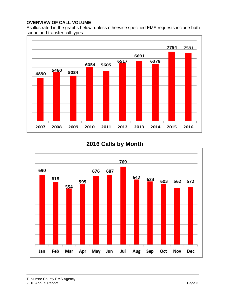### **OVERVIEW OF CALL VOLUME**

As illustrated in the graphs below, unless otherwise specified EMS requests include both scene and transfer call types.



# **2016 Calls by Month**

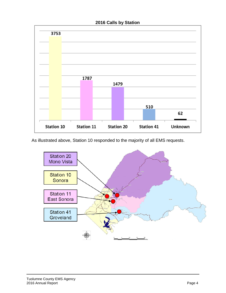#### **2016 Calls by Station**



As illustrated above, Station 10 responded to the majority of all EMS requests.

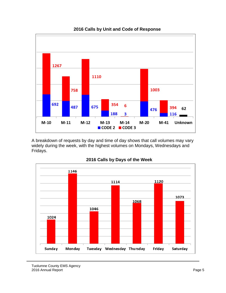

A breakdown of requests by day and time of day shows that call volumes may vary widely during the week, with the highest volumes on Mondays, Wednesdays and Fridays.



#### **2016 Calls by Days of the Week**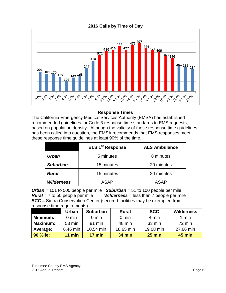

**2016 Calls by Time of Day**

## **Response Times**

The California Emergency Medical Services Authority (EMSA) has established recommended guidelines for Code 3 response time standards to EMS requests, based on population density. Although the validity of these response time guidelines has been called into question, the EMSA recommends that EMS responses meet these response time guidelines at least 90% of the time.

|                   | <b>BLS 1<sup>st</sup> Response</b> | <b>ALS Ambulance</b> |  |
|-------------------|------------------------------------|----------------------|--|
| Urban             | 5 minutes                          | 8 minutes            |  |
| <b>Suburban</b>   | 15 minutes                         | 20 minutes           |  |
| <b>Rural</b>      | 15 minutes                         | 20 minutes           |  |
| <b>Wilderness</b> | ASAP                               | ASAP                 |  |

*Urban* = 101 to 500 people per mile *Suburban* = 51 to 100 people per mile *Rural* = 7 to 50 people per mile *Wilderness* = less than 7 people per mile *SCC* = Sierra Conservation Center (secured facilities may be exempted from response time requirements)

|                 | <b>Urban</b>    | <b>Suburban</b> | <b>Rural</b>    | <b>SCC</b> | <b>Wilderness</b> |
|-----------------|-----------------|-----------------|-----------------|------------|-------------------|
| Minimum:        | $0 \text{ min}$ | $0 \text{ min}$ | $0 \text{ min}$ | 4 min      | 1 min             |
| <b>Maximum:</b> | 53 min          | 81 min          | 48 min          | 33 min     | 72 min            |
| Average:        | 6.46 min        | 10.54 min       | 18.65 min       | 19.08 min  | 27.66 min         |
| <b>90 %ile:</b> | $11$ min        | $17$ min        | <b>34 min</b>   | $25$ min   | 45 min            |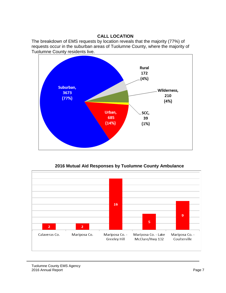# **CALL LOCATION**

The breakdown of EMS requests by location reveals that the majority (77%) of requests occur in the suburban areas of Tuolumne County, where the majority of Tuolumne County residents live.



**2016 Mutual Aid Responses by Tuolumne County Ambulance**

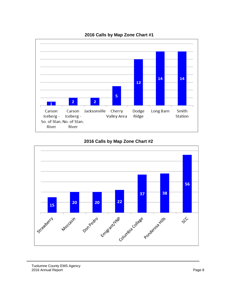

# **2016 Calls by Map Zone Chart #1**



## **2016 Calls by Map Zone Chart #2**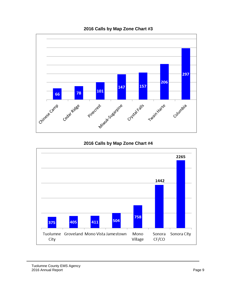

# **2016 Calls by Map Zone Chart #3**

# **2016 Calls by Map Zone Chart #4**

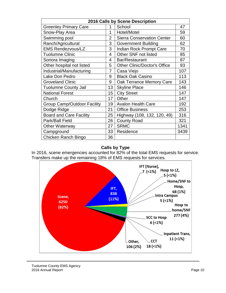| 2016 Calls by Scene Description    |    |                                     |      |
|------------------------------------|----|-------------------------------------|------|
| <b>Greenley Primary Care</b>       | 1  | School                              | 47   |
| Snow-Play Area                     | 1  | Hotel/Motel                         | 59   |
| Swimming pool                      | 2  | <b>Sierra Conservation Center</b>   | 60   |
| Ranch/Agricultural                 | 3  | <b>Government Building</b>          | 62   |
| <b>EMS Rendezvous/LZ</b>           | 3  | Indian Rock Prompt Care             | 70   |
| <b>Tuolumne Clinic</b>             | 4  | Other SNF not listed                | 85   |
| Sonora Imaging                     | 4  | Bar/Restaurant                      | 87   |
| Other hospital not listed          | 5  | <b>Other Clinic/Doctor's Office</b> | 93   |
| Industrial/Manufacturing           | 7  | Casa Viejo                          | 107  |
| Lake Don Pedro                     | 9  | <b>Black Oak Casino</b>             | 113  |
| <b>Groveland Clinic</b>            | 9  | Oak Terrance Memory Care            | 143  |
| <b>Tuolumne County Jail</b>        | 13 | <b>Skyline Place</b>                | 146  |
| <b>National Forest</b>             | 15 | <b>City Street</b>                  | 147  |
| Church                             | 17 | Other                               | 147  |
| <b>Group Camp/Outdoor Facility</b> | 19 | <b>Avalon Health Care</b>           | 192  |
| Dodge Ridge                        | 21 | <b>Office Business</b>              | 253  |
| <b>Board and Care Facility</b>     | 25 | Highway (108, 132, 120, 49)         | 316  |
| Park/Ball Field                    | 26 | <b>County Road</b>                  | 321  |
| <b>Other Waterway</b>              | 27 | <b>SRMC</b>                         | 1341 |
| Campground                         | 33 | Residence                           | 3439 |
| Chicken Ranch Bingo                | 36 |                                     |      |

# **Calls by Type**

In 2016, scene emergencies accounted for 82% of the total EMS requests for service. Transfers make up the remaining 18% of EMS requests for services.

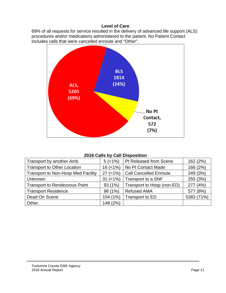#### **Level of Care**

69% of all requests for service resulted in the delivery of advanced life support (ALS) procedures and/or medications administered to the patient. No Patient Contact includes calls that were cancelled enroute and "Other".



### **2016 Calls by Call Disposition**

| Transport by another Amb                  | $5 (< 1\%)$  | Pt Released from Scene        | 162 (2%)   |
|-------------------------------------------|--------------|-------------------------------|------------|
| <b>Transport to Other Location</b>        | $16$ (<1%)   | No Pt Contact Made            | 166 (2%)   |
| <b>Transport to Non-Hosp Med Facility</b> | $27$ (<1%)   | <b>Call Cancelled Enroute</b> | 249 (3%)   |
| Unknown                                   | $31 (< 1\%)$ | Transport to a SNF            | 255 (3%)   |
| <b>Transport to Rendezvous Point</b>      | 93 (1%)      | Transport to Hosp (non-ED)    | 277 (4%)   |
| <b>Transport Residence</b>                | 98 (1%)      | <b>Refused AMA</b>            | 577 (8%)   |
| Dead On Scene                             | 104 (1%)     | Transport to ED               | 5383 (71%) |
| Other                                     | 148 (2%)     |                               |            |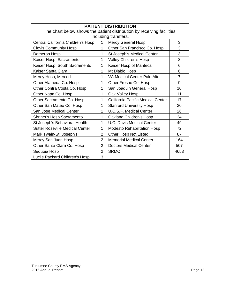| <b>PATIENT DISTRIBUTION</b>                                             |                |                                    |                |
|-------------------------------------------------------------------------|----------------|------------------------------------|----------------|
| The chart below shows the patient distribution by receiving facilities, |                |                                    |                |
| including transfers.                                                    |                |                                    |                |
| Central California Children's Hosp                                      | 1              | <b>Mercy General Hosp</b>          | 3              |
| <b>Clovis Community Hosp</b>                                            | 1              | Other San Francisco Co. Hosp       | 3              |
| Dameron Hosp                                                            | 1              | St Joseph's Medical Center         | 3              |
| Kaiser Hosp, Sacramento                                                 | 1              | Valley Children's Hosp             | 3              |
| Kaiser Hosp, South Sacramento                                           | 1              | Kaiser Hosp of Manteca             | 6              |
| Kaiser Santa Clara                                                      | 1              | Mt Diablo Hosp                     | 6              |
| Mercy Hosp, Merced                                                      | 1              | VA Medical Center Palo Alto        | $\overline{7}$ |
| Other Alameda Co. Hosp                                                  | 1              | Other Fresno Co. Hosp              | 9              |
| Other Contra Costa Co. Hosp                                             | 1              | San Joaquin General Hosp           | 10             |
| Other Napa Co. Hosp                                                     | 1              | Oak Valley Hosp                    | 11             |
| Other Sacramento Co. Hosp                                               | 1              | California Pacific Medical Center  | 17             |
| Other San Mateo Co. Hosp                                                | 1              | <b>Stanford University Hosp</b>    | 20             |
| San Jose Medical Center                                                 | 1              | <b>U.C.S.F. Medical Center</b>     | 26             |
| Shriner's Hosp Sacramento                                               | 1              | Oakland Children's Hosp            | 34             |
| St Joseph's Behavioral Health                                           | 1              | <b>U.C. Davis Medical Center</b>   | 49             |
| <b>Sutter Roseville Medical Center</b>                                  | 1              | <b>Modesto Rehabilitation Hosp</b> | 72             |
| Mark Twain-St. Joseph's                                                 | 2              | <b>Other Hosp Not Listed</b>       | 87             |
| Mercy San Juan Hosp                                                     | $\overline{2}$ | <b>Memorial Medical Center</b>     | 164            |
| Other Santa Clara Co. Hosp                                              | $\overline{2}$ | <b>Doctors Medical Center</b>      | 507            |
| Sequoia Hosp                                                            | $\overline{2}$ | <b>SRMC</b>                        | 4653           |
| Lucile Packard Children's Hosp                                          | 3              |                                    |                |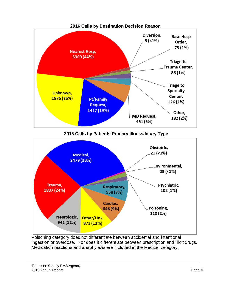

**2016 Calls by Patients Primary Illness/Injury Type**



Poisoning category does not differentiate between accidental and intentional ingestion or overdose. Nor does it differentiate between prescription and illicit drugs. Medication reactions and anaphylaxis are included in the Medical category.

Tuolumne County EMS Agency 2016 Annual Report **Page 13**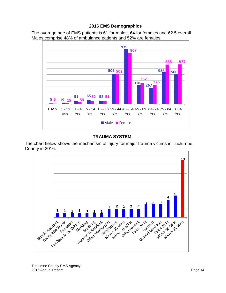#### **2016 EMS Demographics**

The average age of EMS patients is 61 for males, 64 for females and 62.5 overall. Males comprise 48% of ambulance patients and 52% are females.



### **TRAUMA SYSTEM**

The chart below shows the mechanism of injury for major trauma victims in Tuolumne County in 2016.

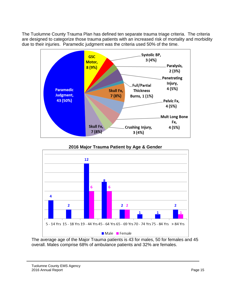The Tuolumne County Trauma Plan has defined ten separate trauma triage criteria. The criteria are designed to categorize those trauma patients with an increased risk of mortality and morbidity due to their injuries. Paramedic judgment was the criteria used 50% of the time.



# **2016 Major Trauma Patient by Age & Gender**  $12$ 6 6 4  $\overline{\mathbf{2}}$  $2<sub>2</sub>$  $\overline{\mathbf{2}}$  $\mathbf{1}$  $\mathbf{1}$ 5 - 14 Yrs 15 - 18 Yrs 19 - 44 Yrs 45 - 64 Yrs 65 - 69 Yrs 70 - 74 Yrs 75 - 84 Yrs > 84 Yrs Male Female

The average age of the Major Trauma patients is 43 for males, 50 for females and 45 overall. Males comprise 68% of ambulance patients and 32% are females.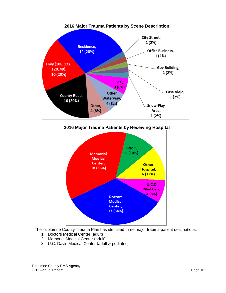

**2016 Major Trauma Patients by Receiving Hospital**



The Tuolumne County Trauma Plan has identified three major trauma patient destinations.

- 1. Doctors Medical Center (adult)
- 2. Memorial Medical Center (adult)
- 3. U.C. Davis Medical Center (adult & pediatric)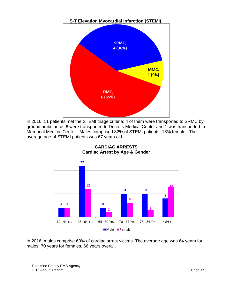

In 2016, 11 patients met the STEMI triage criteria; 4 of them were transported to SRMC by ground ambulance, 6 were transported to Doctors Medical Center and 1 was transported to Memorial Medical Center. Males comprised 82% of STEMI patients, 18% female. The average age of STEMI patients was 67 years old.



**CARDIAC ARRESTS Cardiac Arrest by Age & Gender**

In 2016, males comprise 60% of cardiac arrest victims. The average age was 64 years for males, 70 years for females, 66 years overall.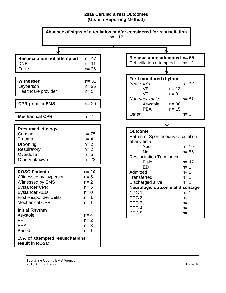#### **2016 Cardiac arrest Outcomes (Utstein Reporting Method)**

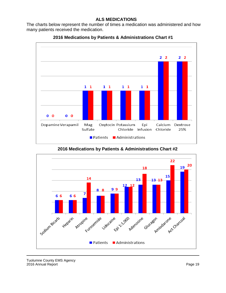#### **ALS MEDICATIONS**

The charts below represent the number of times a medication was administered and how many patients received the medication.





**2016 Medications by Patients & Administrations Chart #2**

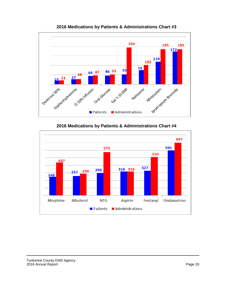

**2016 Medications by Patients & Administrations Chart #3**

**2016 Medications by Patients & Administrations Chart #4**